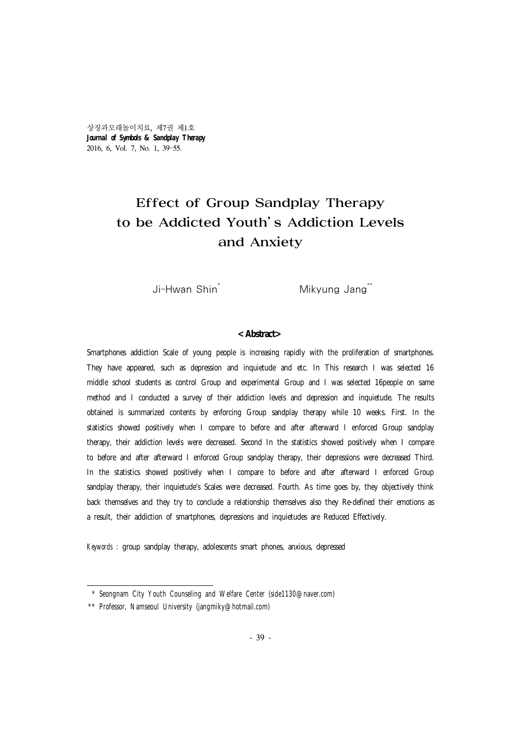상징과모래놀이치료, 제7권 제1호 *Journal of Symbols* **&** *Sandplay Therapy* 2016, 6, Vol. 7, No. 1, 39-55.

# Effect of Group Sandplay Therapy to be Addicted Youth's Addiction Levels and Anxiety

Ji-Hwan Shin<sup>\*</sup> Mikyung Jang<sup>\*\*</sup>

#### **<Abstract>**

Smartphones addiction Scale of young people is increasing rapidly with the proliferation of smartphones. They have appeared, such as depression and inquietude and etc. In This research I was selected 16 middle school students as control Group and experimental Group and I was selected 16people on same method and I conducted a survey of their addiction levels and depression and inquietude. The results obtained is summarized contents by enforcing Group sandplay therapy while 10 weeks. First. In the statistics showed positively when I compare to before and after afterward I enforced Group sandplay therapy, their addiction levels were decreased. Second In the statistics showed positively when I compare to before and after afterward I enforced Group sandplay therapy, their depressions were decreased Third. In the statistics showed positively when I compare to before and after afterward I enforced Group sandplay therapy, their inquietude's Scales were decreased. Fourth. As time goes by, they objectively think back themselves and they try to conclude a relationship themselves also they Re-defined their emotions as a result, their addiction of smartphones, depressions and inquietudes are Reduced Effectively.

*Keywords :* group sandplay therapy, adolescents smart phones, anxious, depressed

 <sup>\*</sup> Seongnam City Youth Counseling and Welfare Center (side1130@naver.com)

<sup>\*\*</sup> Professor, Namseoul University (jangmiky@hotmail.com)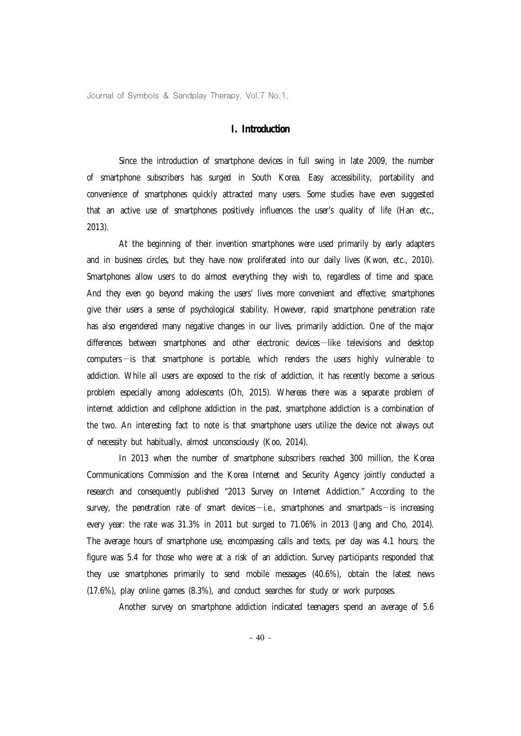## **I. Introduction**

Since the introduction of smartphone devices in full swing in late 2009, the number of smartphone subscribers has surged in South Korea. Easy accessibility, portability and convenience of smartphones quickly attracted many users. Some studies have even suggested that an active use of smartphones positively influences the user's quality of life (Han etc., 2013).

At the beginning of their invention smartphones were used primarily by early adapters and in business circles, but they have now proliferated into our daily lives (Kwon, etc., 2010). Smartphones allow users to do almost everything they wish to, regardless of time and space. And they even go beyond making the users' lives more convenient and effective; smartphones give their users a sense of psychological stability. However, rapid smartphone penetration rate has also engendered many negative changes in our lives, primarily addiction. One of the major differences between smartphones and other electronic devices—like televisions and desktop computers—is that smartphone is portable, which renders the users highly vulnerable to addiction. While all users are exposed to the risk of addiction, it has recently become a serious problem especially among adolescents (Oh, 2015). Whereas there was a separate problem of internet addiction and cellphone addiction in the past, smartphone addiction is a combination of the two. An interesting fact to note is that smartphone users utilize the device not always out of necessity but habitually, almost unconsciously (Koo, 2014).

In 2013 when the number of smartphone subscribers reached 300 million, the Korea Communications Commission and the Korea Internet and Security Agency jointly conducted a research and consequently published "2013 Survey on Internet Addiction." According to the survey, the penetration rate of smart devices  $-i.e.,$  smartphones and smartpads  $-i$ s increasing every year: the rate was 31.3% in 2011 but surged to 71.06% in 2013 (Jang and Cho, 2014). The average hours of smartphone use, encompassing calls and texts, per day was 4.1 hours; the figure was 5.4 for those who were at a risk of an addiction. Survey participants responded that they use smartphones primarily to send mobile messages (40.6%), obtain the latest news (17.6%), play online games (8.3%), and conduct searches for study or work purposes.

Another survey on smartphone addiction indicated teenagers spend an average of 5.6

- 40 -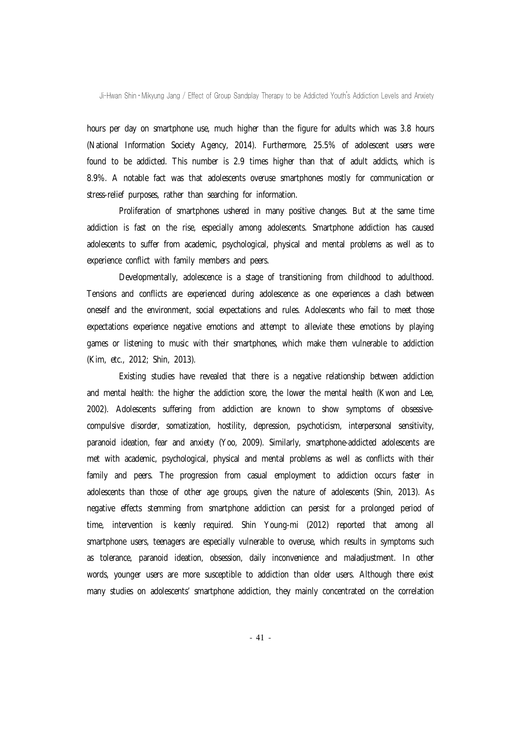hours per day on smartphone use, much higher than the figure for adults which was 3.8 hours (National Information Society Agency, 2014). Furthermore, 25.5% of adolescent users were found to be addicted. This number is 2.9 times higher than that of adult addicts, which is 8.9%. A notable fact was that adolescents overuse smartphones mostly for communication or stress-relief purposes, rather than searching for information.

Proliferation of smartphones ushered in many positive changes. But at the same time addiction is fast on the rise, especially among adolescents. Smartphone addiction has caused adolescents to suffer from academic, psychological, physical and mental problems as well as to experience conflict with family members and peers.

Developmentally, adolescence is a stage of transitioning from childhood to adulthood. Tensions and conflicts are experienced during adolescence as one experiences a clash between oneself and the environment, social expectations and rules. Adolescents who fail to meet those expectations experience negative emotions and attempt to alleviate these emotions by playing games or listening to music with their smartphones, which make them vulnerable to addiction (Kim, etc., 2012; Shin, 2013).

Existing studies have revealed that there is a negative relationship between addiction and mental health: the higher the addiction score, the lower the mental health (Kwon and Lee, 2002). Adolescents suffering from addiction are known to show symptoms of obsessivecompulsive disorder, somatization, hostility, depression, psychoticism, interpersonal sensitivity, paranoid ideation, fear and anxiety (Yoo, 2009). Similarly, smartphone-addicted adolescents are met with academic, psychological, physical and mental problems as well as conflicts with their family and peers. The progression from casual employment to addiction occurs faster in adolescents than those of other age groups, given the nature of adolescents (Shin, 2013). As negative effects stemming from smartphone addiction can persist for a prolonged period of time, intervention is keenly required. Shin Young-mi (2012) reported that among all smartphone users, teenagers are especially vulnerable to overuse, which results in symptoms such as tolerance, paranoid ideation, obsession, daily inconvenience and maladjustment. In other words, younger users are more susceptible to addiction than older users. Although there exist many studies on adolescents' smartphone addiction, they mainly concentrated on the correlation

- 41 -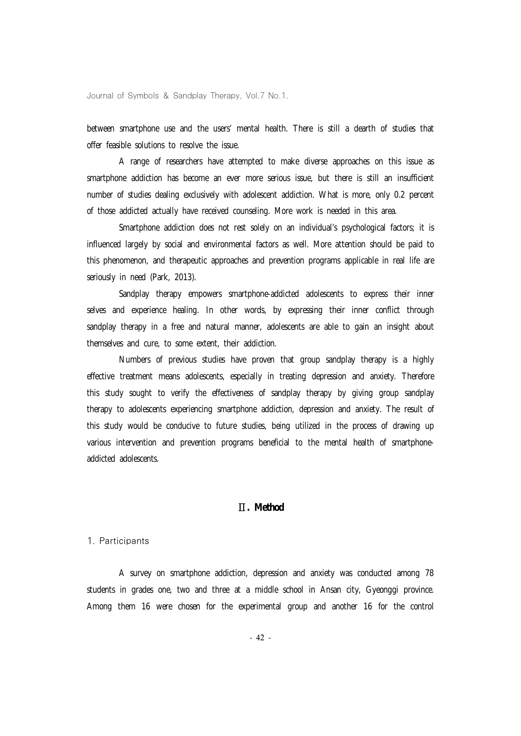between smartphone use and the users' mental health. There is still a dearth of studies that offer feasible solutions to resolve the issue.

A range of researchers have attempted to make diverse approaches on this issue as smartphone addiction has become an ever more serious issue, but there is still an insufficient number of studies dealing exclusively with adolescent addiction. What is more, only 0.2 percent of those addicted actually have received counseling. More work is needed in this area.

Smartphone addiction does not rest solely on an individual's psychological factors; it is influenced largely by social and environmental factors as well. More attention should be paid to this phenomenon, and therapeutic approaches and prevention programs applicable in real life are seriously in need (Park, 2013).

Sandplay therapy empowers smartphone-addicted adolescents to express their inner selves and experience healing. In other words, by expressing their inner conflict through sandplay therapy in a free and natural manner, adolescents are able to gain an insight about themselves and cure, to some extent, their addiction.

Numbers of previous studies have proven that group sandplay therapy is a highly effective treatment means adolescents, especially in treating depression and anxiety. Therefore this study sought to verify the effectiveness of sandplay therapy by giving group sandplay therapy to adolescents experiencing smartphone addiction, depression and anxiety. The result of this study would be conducive to future studies, being utilized in the process of drawing up various intervention and prevention programs beneficial to the mental health of smartphoneaddicted adolescents.

# Ⅱ**. Method**

#### 1. Participants

A survey on smartphone addiction, depression and anxiety was conducted among 78 students in grades one, two and three at a middle school in Ansan city, Gyeonggi province. Among them 16 were chosen for the experimental group and another 16 for the control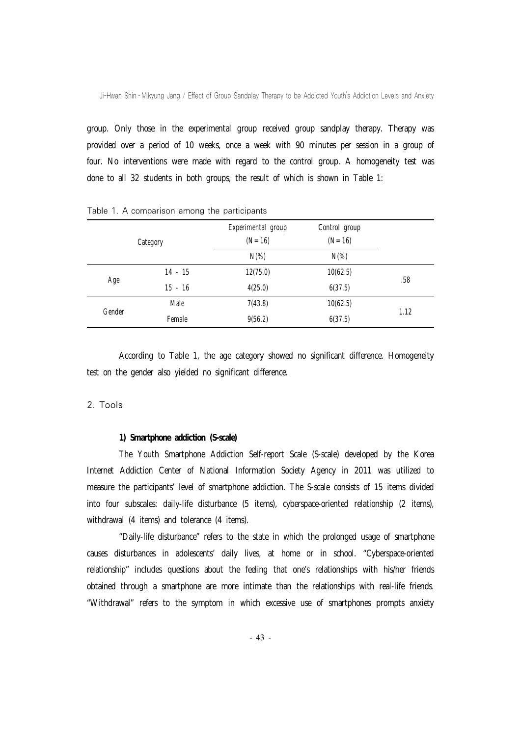group. Only those in the experimental group received group sandplay therapy. Therapy was provided over a period of 10 weeks, once a week with 90 minutes per session in a group of four. No interventions were made with regard to the control group. A homogeneity test was done to all 32 students in both groups, the result of which is shown in Table 1:

|        |           | Experimental group | Control group |      |
|--------|-----------|--------------------|---------------|------|
|        | Category  | $(N = 16)$         | $(N = 16)$    |      |
|        |           | $N(\%)$            | $N(\%)$       |      |
|        | $14 - 15$ | 12(75.0)           | 10(62.5)      | .58  |
| Age    | $15 - 16$ | 4(25.0)            | 6(37.5)       |      |
| Gender | Male      | 7(43.8)            | 10(62.5)      |      |
|        | Female    | 9(56.2)            | 6(37.5)       | 1.12 |

Table 1. A comparison among the participants

According to Table 1, the age category showed no significant difference. Homogeneity test on the gender also yielded no significant difference.

#### 2. Tools

## **1) Smartphone addiction (S-scale)**

The Youth Smartphone Addiction Self-report Scale (S-scale) developed by the Korea Internet Addiction Center of National Information Society Agency in 2011 was utilized to measure the participants' level of smartphone addiction. The S-scale consists of 15 items divided into four subscales: daily-life disturbance (5 items), cyberspace-oriented relationship (2 items), withdrawal (4 items) and tolerance (4 items).

"Daily-life disturbance" refers to the state in which the prolonged usage of smartphone causes disturbances in adolescents' daily lives, at home or in school. "Cyberspace-oriented relationship" includes questions about the feeling that one's relationships with his/her friends obtained through a smartphone are more intimate than the relationships with real-life friends. "Withdrawal" refers to the symptom in which excessive use of smartphones prompts anxiety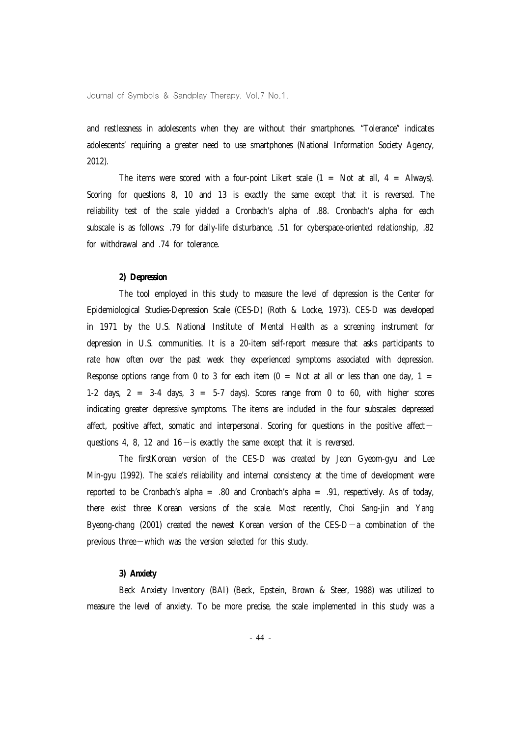and restlessness in adolescents when they are without their smartphones. "Tolerance" indicates adolescents' requiring a greater need to use smartphones (National Information Society Agency, 2012).

The items were scored with a four-point Likert scale  $(1 = Not at all, 4 = Always).$ Scoring for questions 8, 10 and 13 is exactly the same except that it is reversed. The reliability test of the scale yielded a Cronbach's alpha of .88. Cronbach's alpha for each subscale is as follows: .79 for daily-life disturbance, .51 for cyberspace-oriented relationship, .82 for withdrawal and .74 for tolerance.

#### **2) Depression**

The tool employed in this study to measure the level of depression is the Center for Epidemiological Studies-Depression Scale (CES-D) (Roth & Locke, 1973). CES-D was developed in 1971 by the U.S. National Institute of Mental Health as a screening instrument for depression in U.S. communities. It is a 20-item self-report measure that asks participants to rate how often over the past week they experienced symptoms associated with depression. Response options range from 0 to 3 for each item  $(0 = Not at all or less than one day, 1 = 1)$ 1-2 days,  $2 = 3-4$  days,  $3 = 5-7$  days). Scores range from 0 to 60, with higher scores indicating greater depressive symptoms. The items are included in the four subscales: depressed affect, positive affect, somatic and interpersonal. Scoring for questions in the positive affect  $$ questions 4, 8, 12 and  $16$  - is exactly the same except that it is reversed.

The firstKorean version of the CES-D was created by Jeon Gyeom-gyu and Lee Min-gyu (1992). The scale's reliability and internal consistency at the time of development were reported to be Cronbach's alpha = .80 and Cronbach's alpha = .91, respectively. As of today, there exist three Korean versions of the scale. Most recently, Choi Sang-jin and Yang Byeong-chang (2001) created the newest Korean version of the CES-D—a combination of the previous three—which was the version selected for this study.

#### **3) Anxiety**

Beck Anxiety Inventory (BAI) (Beck, Epstein, Brown & Steer, 1988) was utilized to measure the level of anxiety. To be more precise, the scale implemented in this study was a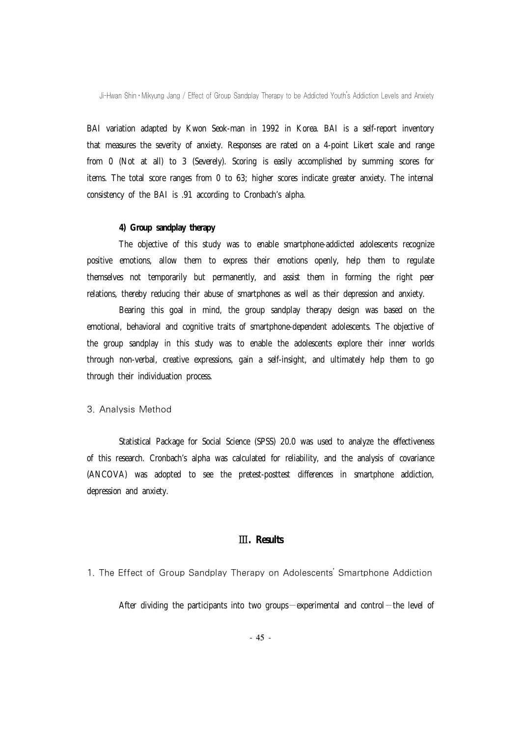BAI variation adapted by Kwon Seok-man in 1992 in Korea. BAI is a self-report inventory that measures the severity of anxiety. Responses are rated on a 4-point Likert scale and range from 0 (Not at all) to 3 (Severely). Scoring is easily accomplished by summing scores for items. The total score ranges from 0 to 63; higher scores indicate greater anxiety. The internal consistency of the BAI is .91 according to Cronbach's alpha.

#### **4) Group sandplay therapy**

The objective of this study was to enable smartphone-addicted adolescents recognize positive emotions, allow them to express their emotions openly, help them to regulate themselves not temporarily but permanently, and assist them in forming the right peer relations, thereby reducing their abuse of smartphones as well as their depression and anxiety.

Bearing this goal in mind, the group sandplay therapy design was based on the emotional, behavioral and cognitive traits of smartphone-dependent adolescents. The objective of the group sandplay in this study was to enable the adolescents explore their inner worlds through non-verbal, creative expressions, gain a self-insight, and ultimately help them to go through their individuation process.

### 3. Analysis Method

Statistical Package for Social Science (SPSS) 20.0 was used to analyze the effectiveness of this research. Cronbach's alpha was calculated for reliability, and the analysis of covariance (ANCOVA) was adopted to see the pretest-posttest differences in smartphone addiction, depression and anxiety.

# Ⅲ**. Results**

# 1. The Effect of Group Sandplay Therapy on Adolescents' Smartphone Addiction

After dividing the participants into two groups—experimental and control—the level of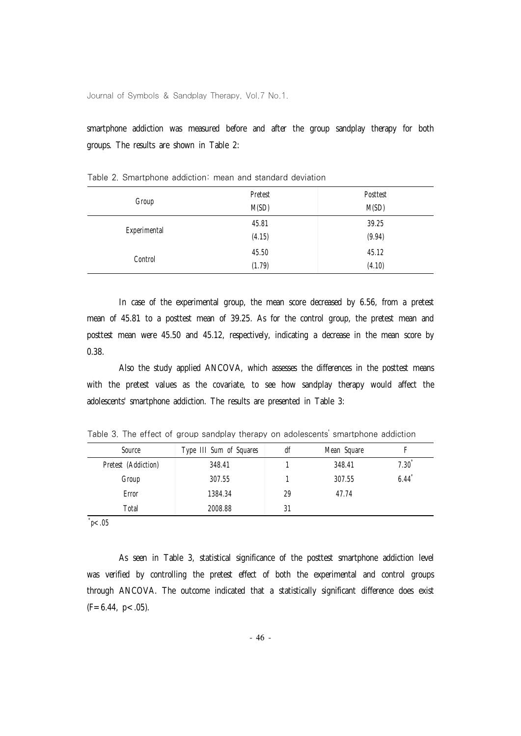smartphone addiction was measured before and after the group sandplay therapy for both groups. The results are shown in Table 2:

|              | Pretest | Posttest |
|--------------|---------|----------|
| Group        | M(SD)   | M(SD)    |
| Experimental | 45.81   | 39.25    |
|              | (4.15)  | (9.94)   |
|              | 45.50   | 45.12    |
| Control      | (1.79)  | (4.10)   |

Table 2. Smartphone addiction: mean and standard deviation

In case of the experimental group, the mean score decreased by 6.56, from a pretest mean of 45.81 to a posttest mean of 39.25. As for the control group, the pretest mean and posttest mean were 45.50 and 45.12, respectively, indicating a decrease in the mean score by 0.38.

Also the study applied ANCOVA, which assesses the differences in the posttest means with the pretest values as the covariate, to see how sandplay therapy would affect the adolescents' smartphone addiction. The results are presented in Table 3:

Table 3. The effect of group sandplay therapy on adolescents' smartphone addiction

| Source              | Type III Sum of Squares | df | Mean Square |      |
|---------------------|-------------------------|----|-------------|------|
| Pretest (Addiction) | 348.41                  |    | 348.41      | 7.30 |
| Group               | 307.55                  |    | 307.55      | 6.44 |
| Error               | 1384.34                 | 29 | 47.74       |      |
| Total               | 2008.88                 | 31 |             |      |

\* *p*<.05

As seen in Table 3, statistical significance of the posttest smartphone addiction level was verified by controlling the pretest effect of both the experimental and control groups through ANCOVA. The outcome indicated that a statistically significant difference does exist  $(F=6.44, p<.05)$ .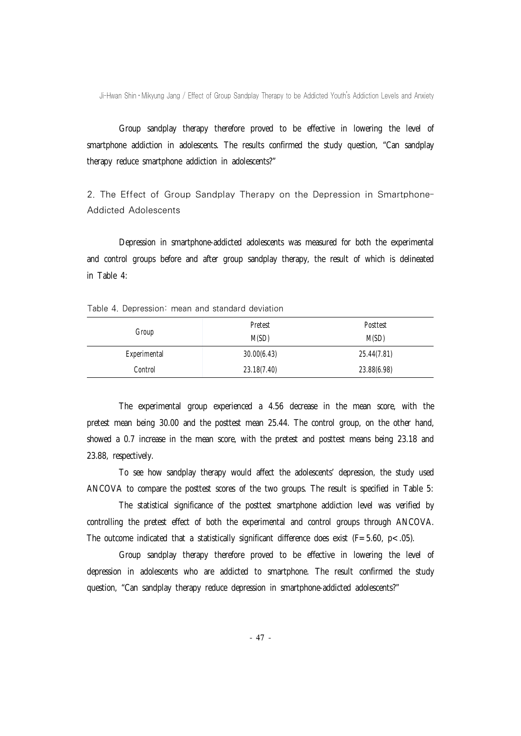Group sandplay therapy therefore proved to be effective in lowering the level of smartphone addiction in adolescents. The results confirmed the study question, "Can sandplay therapy reduce smartphone addiction in adolescents?"

2. The Effect of Group Sandplay Therapy on the Depression in Smartphone-Addicted Adolescents

Depression in smartphone-addicted adolescents was measured for both the experimental and control groups before and after group sandplay therapy, the result of which is delineated in Table 4:

#### Table 4. Depression: mean and standard deviation

|              | Pretest     | Posttest    |
|--------------|-------------|-------------|
| Group        |             |             |
|              | M(SD)       | M(SD)       |
|              |             |             |
| Experimental | 30.00(6.43) | 25.44(7.81) |
|              |             |             |
| Control      | 23.18(7.40) | 23.88(6.98) |
|              |             |             |

The experimental group experienced a 4.56 decrease in the mean score, with the pretest mean being 30.00 and the posttest mean 25.44. The control group, on the other hand, showed a 0.7 increase in the mean score, with the pretest and posttest means being 23.18 and 23.88, respectively.

To see how sandplay therapy would affect the adolescents' depression, the study used ANCOVA to compare the posttest scores of the two groups. The result is specified in Table 5:

The statistical significance of the posttest smartphone addiction level was verified by controlling the pretest effect of both the experimental and control groups through ANCOVA. The outcome indicated that a statistically significant difference does exist ( $F=5.60$ ,  $p<.05$ ).

Group sandplay therapy therefore proved to be effective in lowering the level of depression in adolescents who are addicted to smartphone. The result confirmed the study question, "Can sandplay therapy reduce depression in smartphone-addicted adolescents?"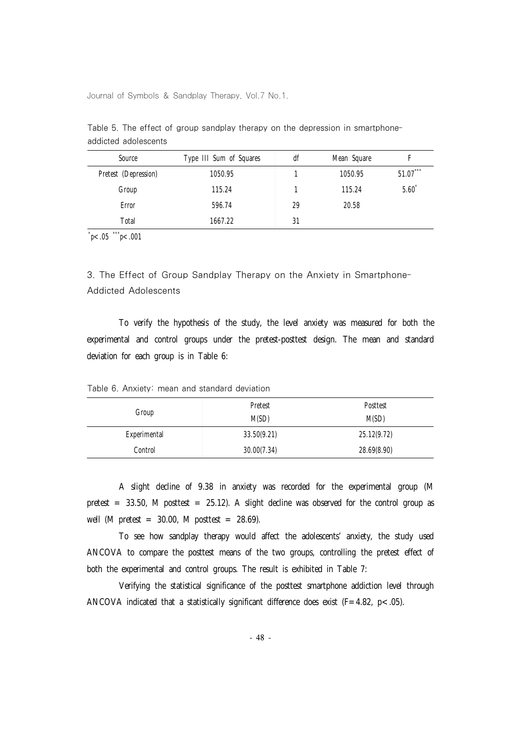| Type III Sum of Squares | df | Mean Square |              |
|-------------------------|----|-------------|--------------|
| 1050.95                 |    | 1050.95     | ***<br>51.07 |
| 115.24                  |    | 115.24      | 5.60         |
| 596.74                  | 29 | 20.58       |              |
| 1667.22                 | 31 |             |              |
|                         |    |             |              |

Table 5. The effect of group sandplay therapy on the depression in smartphoneaddicted adolescents

\* *p*<.05 \*\*\**p*<.001

3. The Effect of Group Sandplay Therapy on the Anxiety in Smartphone-Addicted Adolescents

To verify the hypothesis of the study, the level anxiety was measured for both the experimental and control groups under the pretest-posttest design. The mean and standard deviation for each group is in Table 6:

|  |  |  |  |  | Table 6. Anxiety: mean and standard deviation |  |
|--|--|--|--|--|-----------------------------------------------|--|
|--|--|--|--|--|-----------------------------------------------|--|

| Group        | Pretest<br>M(SD) | Posttest<br>M(SD) |
|--------------|------------------|-------------------|
| Experimental | 33.50(9.21)      | 25.12(9.72)       |
| Control      | 30.00(7.34)      | 28.69(8.90)       |

A slight decline of 9.38 in anxiety was recorded for the experimental group (M pretest = 33.50, M posttest = 25.12). A slight decline was observed for the control group as well (M pretest  $= 30.00$ , M posttest  $= 28.69$ ).

To see how sandplay therapy would affect the adolescents' anxiety, the study used ANCOVA to compare the posttest means of the two groups, controlling the pretest effect of both the experimental and control groups. The result is exhibited in Table 7:

Verifying the statistical significance of the posttest smartphone addiction level through ANCOVA indicated that a statistically significant difference does exist (F=4.82, p<.05).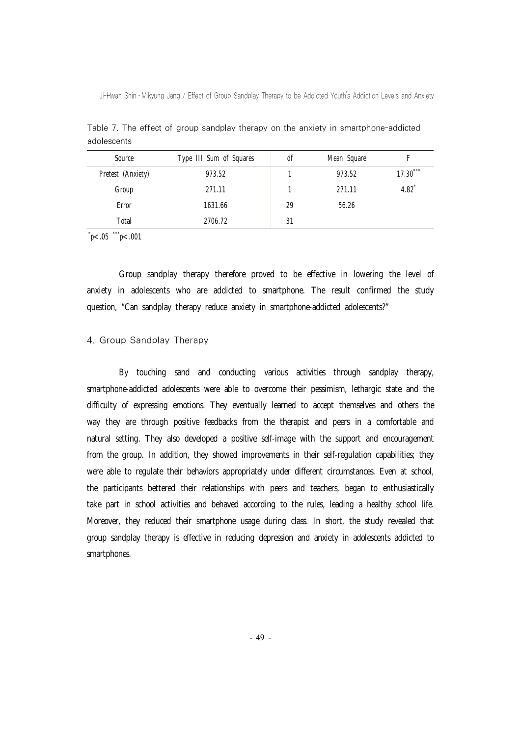| Source            | Type III Sum of Squares | df | Mean Square |                     |
|-------------------|-------------------------|----|-------------|---------------------|
| Pretest (Anxiety) | 973.52                  |    | 973.52      | ***<br>17.30        |
| Group             | 271.11                  |    | 271.11      | $4.82$ <sup>*</sup> |
| Error             | 1631.66                 | 29 | 56.26       |                     |
| Total             | 2706.72                 | 31 |             |                     |
|                   |                         |    |             |                     |

Table 7. The effect of group sandplay therapy on the anxiety in smartphone-addicted adolescents

\* *p*<.05 \*\*\**p*<.001

Group sandplay therapy therefore proved to be effective in lowering the level of anxiety in adolescents who are addicted to smartphone. The result confirmed the study question, "Can sandplay therapy reduce anxiety in smartphone-addicted adolescents?"

# 4. Group Sandplay Therapy

By touching sand and conducting various activities through sandplay therapy, smartphone-addicted adolescents were able to overcome their pessimism, lethargic state and the difficulty of expressing emotions. They eventually learned to accept themselves and others the way they are through positive feedbacks from the therapist and peers in a comfortable and natural setting. They also developed a positive self-image with the support and encouragement from the group. In addition, they showed improvements in their self-regulation capabilities; they were able to regulate their behaviors appropriately under different circumstances. Even at school, the participants bettered their relationships with peers and teachers, began to enthusiastically take part in school activities and behaved according to the rules, leading a healthy school life. Moreover, they reduced their smartphone usage during class. In short, the study revealed that group sandplay therapy is effective in reducing depression and anxiety in adolescents addicted to smartphones.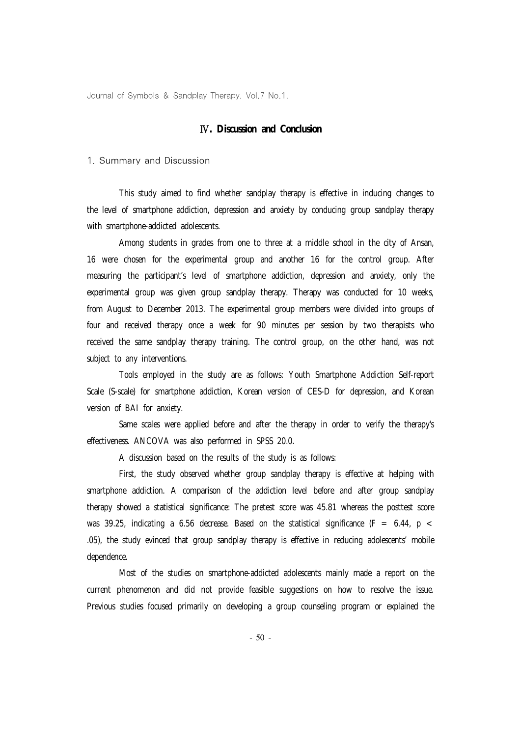# Ⅳ**. Discussion and Conclusion**

#### 1. Summary and Discussion

This study aimed to find whether sandplay therapy is effective in inducing changes to the level of smartphone addiction, depression and anxiety by conducing group sandplay therapy with smartphone-addicted adolescents.

Among students in grades from one to three at a middle school in the city of Ansan, 16 were chosen for the experimental group and another 16 for the control group. After measuring the participant's level of smartphone addiction, depression and anxiety, only the experimental group was given group sandplay therapy. Therapy was conducted for 10 weeks, from August to December 2013. The experimental group members were divided into groups of four and received therapy once a week for 90 minutes per session by two therapists who received the same sandplay therapy training. The control group, on the other hand, was not subject to any interventions.

Tools employed in the study are as follows: Youth Smartphone Addiction Self-report Scale (S-scale) for smartphone addiction, Korean version of CES-D for depression, and Korean version of BAI for anxiety.

Same scales were applied before and after the therapy in order to verify the therapy's effectiveness. ANCOVA was also performed in SPSS 20.0.

A discussion based on the results of the study is as follows:

First, the study observed whether group sandplay therapy is effective at helping with smartphone addiction. A comparison of the addiction level before and after group sandplay therapy showed a statistical significance: The pretest score was 45.81 whereas the posttest score was 39.25, indicating a 6.56 decrease. Based on the statistical significance (F = 6.44,  $p$  < .05), the study evinced that group sandplay therapy is effective in reducing adolescents' mobile dependence.

Most of the studies on smartphone-addicted adolescents mainly made a report on the current phenomenon and did not provide feasible suggestions on how to resolve the issue. Previous studies focused primarily on developing a group counseling program or explained the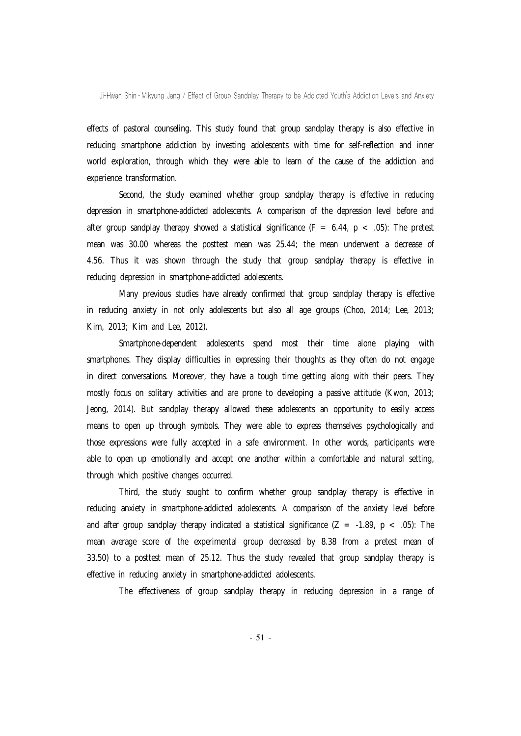effects of pastoral counseling. This study found that group sandplay therapy is also effective in reducing smartphone addiction by investing adolescents with time for self-reflection and inner world exploration, through which they were able to learn of the cause of the addiction and experience transformation.

Second, the study examined whether group sandplay therapy is effective in reducing depression in smartphone-addicted adolescents. A comparison of the depression level before and after group sandplay therapy showed a statistical significance ( $F = 6.44$ ,  $p < .05$ ): The pretest mean was 30.00 whereas the posttest mean was 25.44; the mean underwent a decrease of 4.56. Thus it was shown through the study that group sandplay therapy is effective in reducing depression in smartphone-addicted adolescents.

Many previous studies have already confirmed that group sandplay therapy is effective in reducing anxiety in not only adolescents but also all age groups (Choo, 2014; Lee, 2013; Kim, 2013; Kim and Lee, 2012).

Smartphone-dependent adolescents spend most their time alone playing with smartphones. They display difficulties in expressing their thoughts as they often do not engage in direct conversations. Moreover, they have a tough time getting along with their peers. They mostly focus on solitary activities and are prone to developing a passive attitude (Kwon, 2013; Jeong, 2014). But sandplay therapy allowed these adolescents an opportunity to easily access means to open up through symbols. They were able to express themselves psychologically and those expressions were fully accepted in a safe environment. In other words, participants were able to open up emotionally and accept one another within a comfortable and natural setting, through which positive changes occurred.

Third, the study sought to confirm whether group sandplay therapy is effective in reducing anxiety in smartphone-addicted adolescents. A comparison of the anxiety level before and after group sandplay therapy indicated a statistical significance  $(Z = -1.89, p < .05)$ . The mean average score of the experimental group decreased by 8.38 from a pretest mean of 33.50) to a posttest mean of 25.12. Thus the study revealed that group sandplay therapy is effective in reducing anxiety in smartphone-addicted adolescents.

The effectiveness of group sandplay therapy in reducing depression in a range of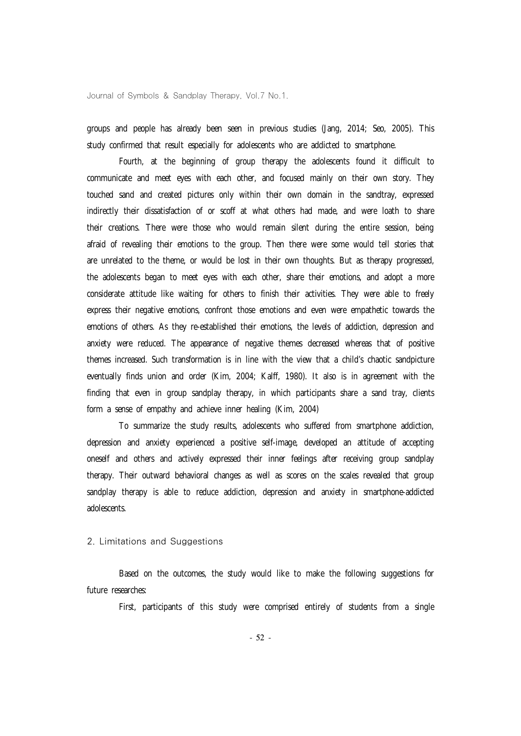groups and people has already been seen in previous studies (Jang, 2014; Seo, 2005). This study confirmed that result especially for adolescents who are addicted to smartphone.

Fourth, at the beginning of group therapy the adolescents found it difficult to communicate and meet eyes with each other, and focused mainly on their own story. They touched sand and created pictures only within their own domain in the sandtray, expressed indirectly their dissatisfaction of or scoff at what others had made, and were loath to share their creations. There were those who would remain silent during the entire session, being afraid of revealing their emotions to the group. Then there were some would tell stories that are unrelated to the theme, or would be lost in their own thoughts. But as therapy progressed, the adolescents began to meet eyes with each other, share their emotions, and adopt a more considerate attitude like waiting for others to finish their activities. They were able to freely express their negative emotions, confront those emotions and even were empathetic towards the emotions of others. As they re-established their emotions, the levels of addiction, depression and anxiety were reduced. The appearance of negative themes decreased whereas that of positive themes increased. Such transformation is in line with the view that a child's chaotic sandpicture eventually finds union and order (Kim, 2004; Kalff, 1980). It also is in agreement with the finding that even in group sandplay therapy, in which participants share a sand tray, clients form a sense of empathy and achieve inner healing (Kim, 2004)

To summarize the study results, adolescents who suffered from smartphone addiction, depression and anxiety experienced a positive self-image, developed an attitude of accepting oneself and others and actively expressed their inner feelings after receiving group sandplay therapy. Their outward behavioral changes as well as scores on the scales revealed that group sandplay therapy is able to reduce addiction, depression and anxiety in smartphone-addicted adolescents.

#### 2. Limitations and Suggestions

Based on the outcomes, the study would like to make the following suggestions for future researches:

First, participants of this study were comprised entirely of students from a single

- 52 -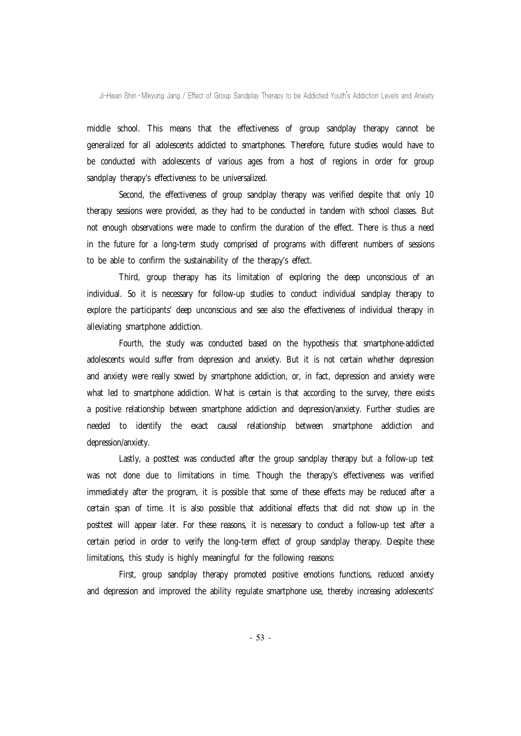middle school. This means that the effectiveness of group sandplay therapy cannot be generalized for all adolescents addicted to smartphones. Therefore, future studies would have to be conducted with adolescents of various ages from a host of regions in order for group sandplay therapy's effectiveness to be universalized.

Second, the effectiveness of group sandplay therapy was verified despite that only 10 therapy sessions were provided, as they had to be conducted in tandem with school classes. But not enough observations were made to confirm the duration of the effect. There is thus a need in the future for a long-term study comprised of programs with different numbers of sessions to be able to confirm the sustainability of the therapy's effect.

Third, group therapy has its limitation of exploring the deep unconscious of an individual. So it is necessary for follow-up studies to conduct individual sandplay therapy to explore the participants' deep unconscious and see also the effectiveness of individual therapy in alleviating smartphone addiction.

Fourth, the study was conducted based on the hypothesis that smartphone-addicted adolescents would suffer from depression and anxiety. But it is not certain whether depression and anxiety were really sowed by smartphone addiction, or, in fact, depression and anxiety were what led to smartphone addiction. What is certain is that according to the survey, there exists a positive relationship between smartphone addiction and depression/anxiety. Further studies are needed to identify the exact causal relationship between smartphone addiction and depression/anxiety.

Lastly, a posttest was conducted after the group sandplay therapy but a follow-up test was not done due to limitations in time. Though the therapy's effectiveness was verified immediately after the program, it is possible that some of these effects may be reduced after a certain span of time. It is also possible that additional effects that did not show up in the posttest will appear later. For these reasons, it is necessary to conduct a follow-up test after a certain period in order to verify the long-term effect of group sandplay therapy. Despite these limitations, this study is highly meaningful for the following reasons:

First, group sandplay therapy promoted positive emotions functions, reduced anxiety and depression and improved the ability regulate smartphone use, thereby increasing adolescents'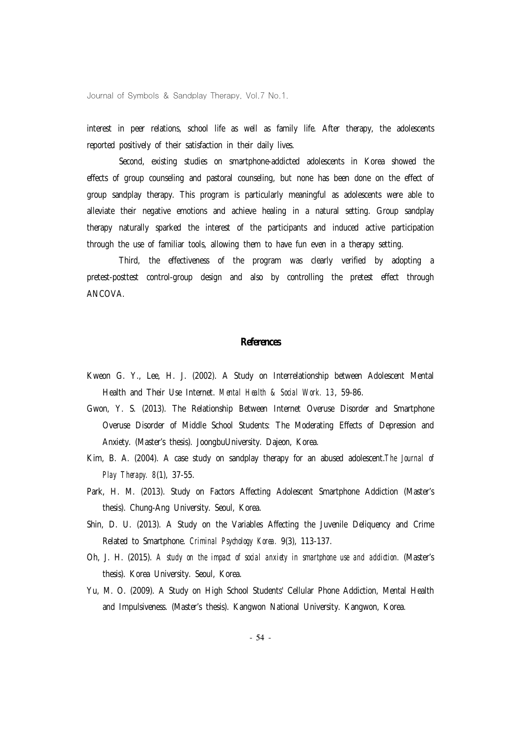interest in peer relations, school life as well as family life. After therapy, the adolescents reported positively of their satisfaction in their daily lives.

Second, existing studies on smartphone-addicted adolescents in Korea showed the effects of group counseling and pastoral counseling, but none has been done on the effect of group sandplay therapy. This program is particularly meaningful as adolescents were able to alleviate their negative emotions and achieve healing in a natural setting. Group sandplay therapy naturally sparked the interest of the participants and induced active participation through the use of familiar tools, allowing them to have fun even in a therapy setting.

Third, the effectiveness of the program was clearly verified by adopting a pretest-posttest control-group design and also by controlling the pretest effect through ANCOVA.

#### **References**

- Kweon G. Y., Lee, H. J. (2002). A Study on Interrelationship between Adolescent Mental Health and Their Use Internet. *Mental Health & Social Work. 13*, 59-86.
- Gwon, Y. S. (2013). The Relationship Between Internet Overuse Disorder and Smartphone Overuse Disorder of Middle School Students: The Moderating Effects of Depression and Anxiety. (Master's thesis). JoongbuUniversity. Dajeon, Korea.
- Kim, B. A. (2004). A case study on sandplay therapy for an abused adolescent.*The Journal of Play Therapy. 8*(1), 37-55.
- Park, H. M. (2013). Study on Factors Affecting Adolescent Smartphone Addiction (Master's thesis). Chung-Ang University. Seoul, Korea.
- Shin, D. U. (2013). A Study on the Variables Affecting the Juvenile Deliquency and Crime Related to Smartphone. *Criminal Psychology Korea.* 9(3), 113-137.
- Oh, J. H. (2015). *A study on the impact of social anxiety in smartphone use and addiction.* (Master's thesis). Korea University. Seoul, Korea.
- Yu, M. O. (2009). A Study on High School Students' Cellular Phone Addiction, Mental Health and Impulsiveness. (Master's thesis). Kangwon National University. Kangwon, Korea.